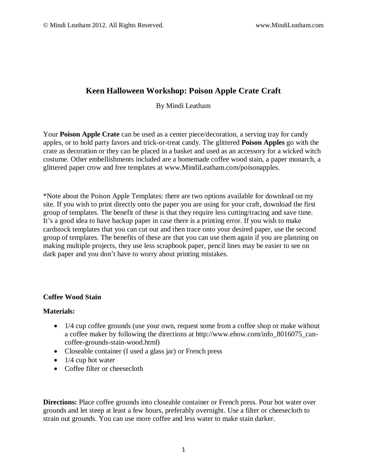# **Keen Halloween Workshop: Poison Apple Crate Craft**

By Mindi Leatham

Your **Poison Apple Crate** can be used as a center piece/decoration, a serving tray for candy apples, or to hold party favors and trick-or-treat candy. The glittered **Poison Apples** go with the crate as decoration or they can be placed in a basket and used as an accessory for a wicked witch costume. Other embellishments included are a homemade coffee wood stain, a paper monarch, a glittered paper crow and free templates at [www.MindiLeatham.com/poisonapples.](http://www.mindileatham.com/poisonapples)

\*Note about the Poison Apple Templates: there are two options available for download on my site. If you wish to print directly onto the paper you are using for your craft, download the first group of templates. The benefit of these is that they require less cutting/tracing and save time. It's a good idea to have backup paper in case there is a printing error. If you wish to make cardstock templates that you can cut out and then trace onto your desired paper, use the second group of templates. The benefits of these are that you can use them again if you are planning on making multiple projects, they use less scrapbook paper, pencil lines may be easier to see on dark paper and you don't have to worry about printing mistakes.

## **Coffee Wood Stain**

## **Materials:**

- 1/4 cup coffee grounds (use your own, request some from a coffee shop or make without a coffee maker by following the directions at http://www.ehow.com/info\_8016075\_cancoffee-grounds-stain-wood.html)
- Closeable container (I used a glass jar) or French press
- $\bullet$  1/4 cup hot water
- Coffee filter or cheesecloth

**Directions:** Place coffee grounds into closeable container or French press. Pour hot water over grounds and let steep at least a few hours, preferably overnight. Use a filter or cheesecloth to strain out grounds. You can use more coffee and less water to make stain darker.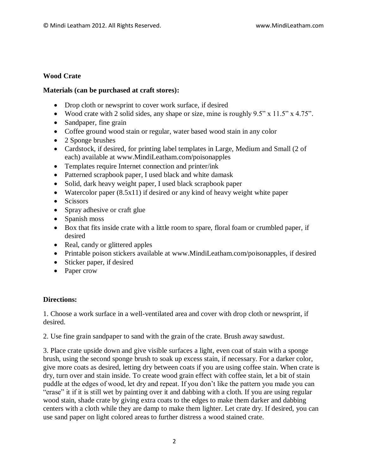## **Wood Crate**

## **Materials (can be purchased at craft stores):**

- Drop cloth or newsprint to cover work surface, if desired
- Wood crate with 2 solid sides, any shape or size, mine is roughly  $9.5$ " x  $11.5$ " x  $4.75$ ".
- Sandpaper, fine grain
- Coffee ground wood stain or regular, water based wood stain in any color
- 2 Sponge brushes
- Cardstock, if desired, for printing label templates in Large, Medium and Small (2 of each) available at [www.MindiLeatham.com/poisonapples](http://www.mindileatham.com/poisonapples)
- Templates require Internet connection and printer/ink
- Patterned scrapbook paper, I used black and white damask
- Solid, dark heavy weight paper, I used black scrapbook paper
- Watercolor paper  $(8.5x11)$  if desired or any kind of heavy weight white paper
- Scissors
- Spray adhesive or craft glue
- Spanish moss
- Box that fits inside crate with a little room to spare, floral foam or crumbled paper, if desired
- Real, candy or glittered apples
- Printable poison stickers available at www.MindiLeatham.com/poisonapples, if desired
- Sticker paper, if desired
- Paper crow

## **Directions:**

1. Choose a work surface in a well-ventilated area and cover with drop cloth or newsprint, if desired.

2. Use fine grain sandpaper to sand with the grain of the crate. Brush away sawdust.

3. Place crate upside down and give visible surfaces a light, even coat of stain with a sponge brush, using the second sponge brush to soak up excess stain, if necessary. For a darker color, give more coats as desired, letting dry between coats if you are using coffee stain. When crate is dry, turn over and stain inside. To create wood grain effect with coffee stain, let a bit of stain puddle at the edges of wood, let dry and repeat. If you don't like the pattern you made you can "erase" it if it is still wet by painting over it and dabbing with a cloth. If you are using regular wood stain, shade crate by giving extra coats to the edges to make them darker and dabbing centers with a cloth while they are damp to make them lighter. Let crate dry. If desired, you can use sand paper on light colored areas to further distress a wood stained crate.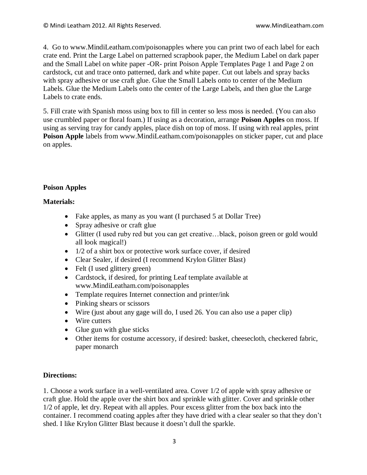4. Go to www.MindiLeatham.com/poisonapples where you can print two of each label for each crate end. Print the Large Label on patterned scrapbook paper, the Medium Label on dark paper and the Small Label on white paper -OR- print Poison Apple Templates Page 1 and Page 2 on cardstock, cut and trace onto patterned, dark and white paper. Cut out labels and spray backs with spray adhesive or use craft glue. Glue the Small Labels onto to center of the Medium Labels. Glue the Medium Labels onto the center of the Large Labels, and then glue the Large Labels to crate ends.

5. Fill crate with Spanish moss using box to fill in center so less moss is needed. (You can also use crumbled paper or floral foam.) If using as a decoration, arrange **Poison Apples** on moss. If using as serving tray for candy apples, place dish on top of moss. If using with real apples, print **Poison Apple** labels from www.MindiLeatham.com/poisonapples on sticker paper, cut and place on apples.

## **Poison Apples**

#### **Materials:**

- Fake apples, as many as you want (I purchased 5 at Dollar Tree)
- Spray adhesive or craft glue
- Glitter (I used ruby red but you can get creative…black, poison green or gold would all look magical!)
- $\bullet$  1/2 of a shirt box or protective work surface cover, if desired
- Clear Sealer, if desired (I recommend Krylon Glitter Blast)
- Felt (I used glittery green)
- Cardstock, if desired, for printing Leaf template available at [www.MindiLeatham.com/poisonapples](http://www.mindileatham.com/poisonapples)
- Template requires Internet connection and printer/ink
- Pinking shears or scissors
- Wire (just about any gage will do, I used 26. You can also use a paper clip)
- Wire cutters
- Glue gun with glue sticks
- Other items for costume accessory, if desired: basket, cheesecloth, checkered fabric, paper monarch

#### **Directions:**

1. Choose a work surface in a well-ventilated area. Cover 1/2 of apple with spray adhesive or craft glue. Hold the apple over the shirt box and sprinkle with glitter. Cover and sprinkle other 1/2 of apple, let dry. Repeat with all apples. Pour excess glitter from the box back into the container. I recommend coating apples after they have dried with a clear sealer so that they don't shed. I like Krylon Glitter Blast because it doesn't dull the sparkle.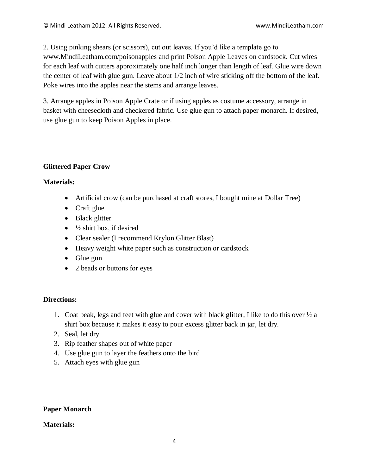2. Using pinking shears (or scissors), cut out leaves. If you'd like a template go to [www.MindiLeatham.com/poisonapples](http://www.mindileatham.com/poisonapples) and print Poison Apple Leaves on cardstock. Cut wires for each leaf with cutters approximately one half inch longer than length of leaf. Glue wire down the center of leaf with glue gun. Leave about 1/2 inch of wire sticking off the bottom of the leaf. Poke wires into the apples near the stems and arrange leaves.

3. Arrange apples in Poison Apple Crate or if using apples as costume accessory, arrange in basket with cheesecloth and checkered fabric. Use glue gun to attach paper monarch. If desired, use glue gun to keep Poison Apples in place.

## **Glittered Paper Crow**

#### **Materials:**

- Artificial crow (can be purchased at craft stores, I bought mine at Dollar Tree)
- Craft glue
- Black glitter
- $\bullet$   $\frac{1}{2}$  shirt box, if desired
- Clear sealer (I recommend Krylon Glitter Blast)
- Heavy weight white paper such as construction or cardstock
- $\bullet$  Glue gun
- 2 beads or buttons for eyes

## **Directions:**

- 1. Coat beak, legs and feet with glue and cover with black glitter, I like to do this over  $\frac{1}{2}$  a shirt box because it makes it easy to pour excess glitter back in jar, let dry.
- 2. Seal, let dry.
- 3. Rip feather shapes out of white paper
- 4. Use glue gun to layer the feathers onto the bird
- 5. Attach eyes with glue gun

## **Paper Monarch**

#### **Materials:**